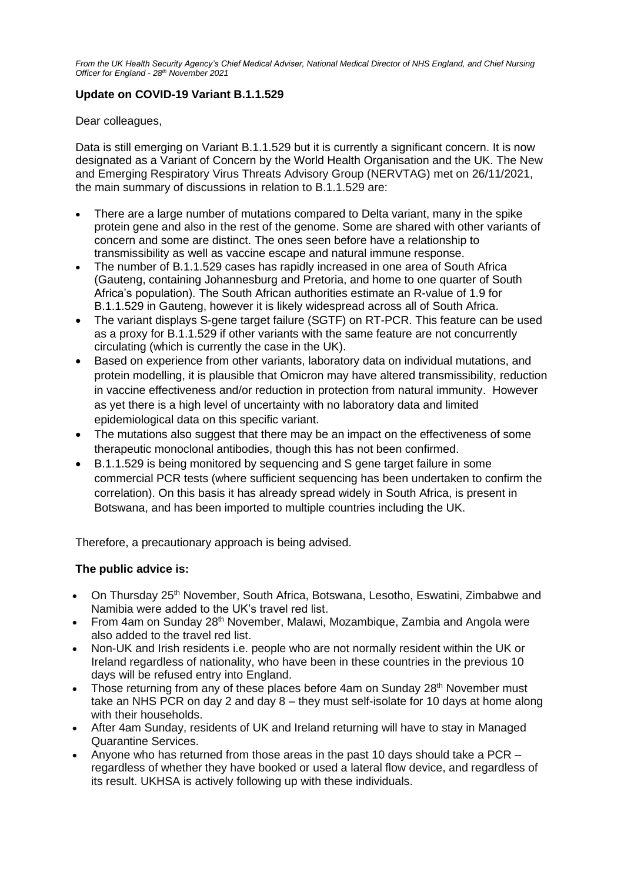*From the UK Health Security Agency's Chief Medical Adviser, National Medical Director of NHS England, and Chief Nursing Officer for England - 28 th November 2021*

# **Update on COVID-19 Variant B.1.1.529**

Dear colleagues,

Data is still emerging on Variant B.1.1.529 but it is currently a significant concern. It is now designated as a Variant of Concern by the World Health Organisation and the UK. The New and Emerging Respiratory Virus Threats Advisory Group (NERVTAG) met on 26/11/2021, the main summary of discussions in relation to B.1.1.529 are:

- There are a large number of mutations compared to Delta variant, many in the spike protein gene and also in the rest of the genome. Some are shared with other variants of concern and some are distinct. The ones seen before have a relationship to transmissibility as well as vaccine escape and natural immune response.
- The number of B.1.1.529 cases has rapidly increased in one area of South Africa (Gauteng, containing Johannesburg and Pretoria, and home to one quarter of South Africa's population). The South African authorities estimate an R-value of 1.9 for B.1.1.529 in Gauteng, however it is likely widespread across all of South Africa.
- The variant displays S-gene target failure (SGTF) on RT-PCR. This feature can be used as a proxy for B.1.1.529 if other variants with the same feature are not concurrently circulating (which is currently the case in the UK).
- Based on experience from other variants, laboratory data on individual mutations, and protein modelling, it is plausible that Omicron may have altered transmissibility, reduction in vaccine effectiveness and/or reduction in protection from natural immunity. However as yet there is a high level of uncertainty with no laboratory data and limited epidemiological data on this specific variant.
- The mutations also suggest that there may be an impact on the effectiveness of some therapeutic monoclonal antibodies, though this has not been confirmed.
- B.1.1.529 is being monitored by sequencing and S gene target failure in some commercial PCR tests (where sufficient sequencing has been undertaken to confirm the correlation). On this basis it has already spread widely in South Africa, is present in Botswana, and has been imported to multiple countries including the UK.

Therefore, a precautionary approach is being advised.

## **The public advice is:**

- On Thursday 25th November, South Africa, Botswana, Lesotho, Eswatini, Zimbabwe and Namibia were added to the UK's travel red list.
- From 4am on Sunday 28<sup>th</sup> November, Malawi, Mozambique, Zambia and Angola were also added to the travel red list.
- Non-UK and Irish residents i.e. people who are not normally resident within the UK or Ireland regardless of nationality, who have been in these countries in the previous 10 days will be refused entry into England.
- Those returning from any of these places before 4am on Sunday  $28<sup>th</sup>$  November must take an NHS PCR on day 2 and day 8 – they must self-isolate for 10 days at home along with their households.
- After 4am Sunday, residents of UK and Ireland returning will have to stay in Managed Quarantine Services.
- Anyone who has returned from those areas in the past 10 days should take a PCR regardless of whether they have booked or used a lateral flow device, and regardless of its result. UKHSA is actively following up with these individuals.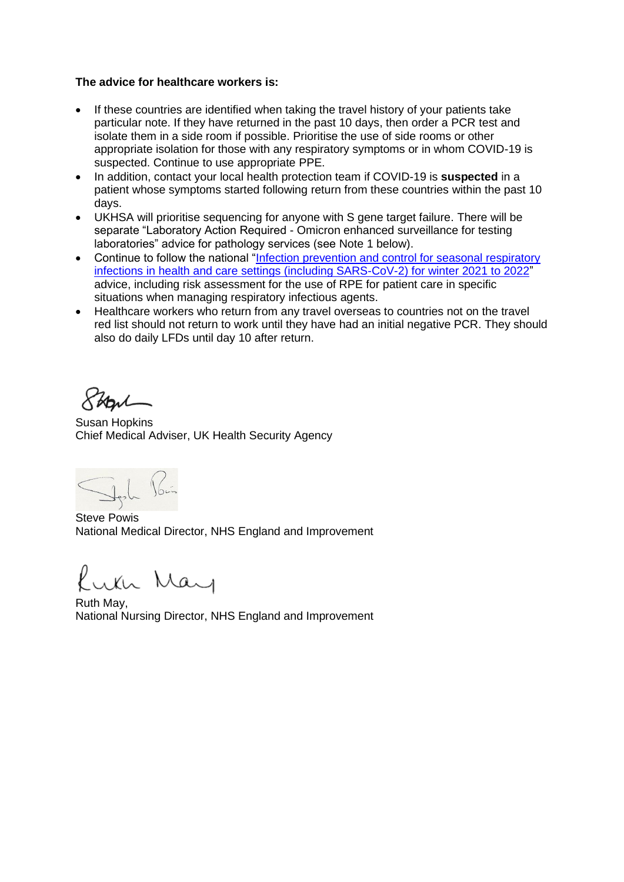#### **The advice for healthcare workers is:**

- If these countries are identified when taking the travel history of your patients take particular note. If they have returned in the past 10 days, then order a PCR test and isolate them in a side room if possible. Prioritise the use of side rooms or other appropriate isolation for those with any respiratory symptoms or in whom COVID-19 is suspected. Continue to use appropriate PPE.
- In addition, contact your local health protection team if COVID-19 is **suspected** in a patient whose symptoms started following return from these countries within the past 10 days.
- UKHSA will prioritise sequencing for anyone with S gene target failure. There will be separate "Laboratory Action Required - Omicron enhanced surveillance for testing laboratories" advice for pathology services (see Note 1 below).
- Continue to follow the national "Infection prevention and control for seasonal respiratory [infections in health and care settings \(including SARS-CoV-2\) for winter 2021 to 2022"](https://www.gov.uk/government/publications/wuhan-novel-coronavirus-infection-prevention-and-control/covid-19-guidance-for-maintaining-services-within-health-and-care-settings-infection-prevention-and-control-recommendations) advice, including risk assessment for the use of RPE for patient care in specific situations when managing respiratory infectious agents.
- Healthcare workers who return from any travel overseas to countries not on the travel red list should not return to work until they have had an initial negative PCR. They should also do daily LFDs until day 10 after return.

Shoul

Susan Hopkins Chief Medical Adviser, UK Health Security Agency

Steve Powis National Medical Director, NHS England and Improvement

fulh May

Ruth May, National Nursing Director, NHS England and Improvement